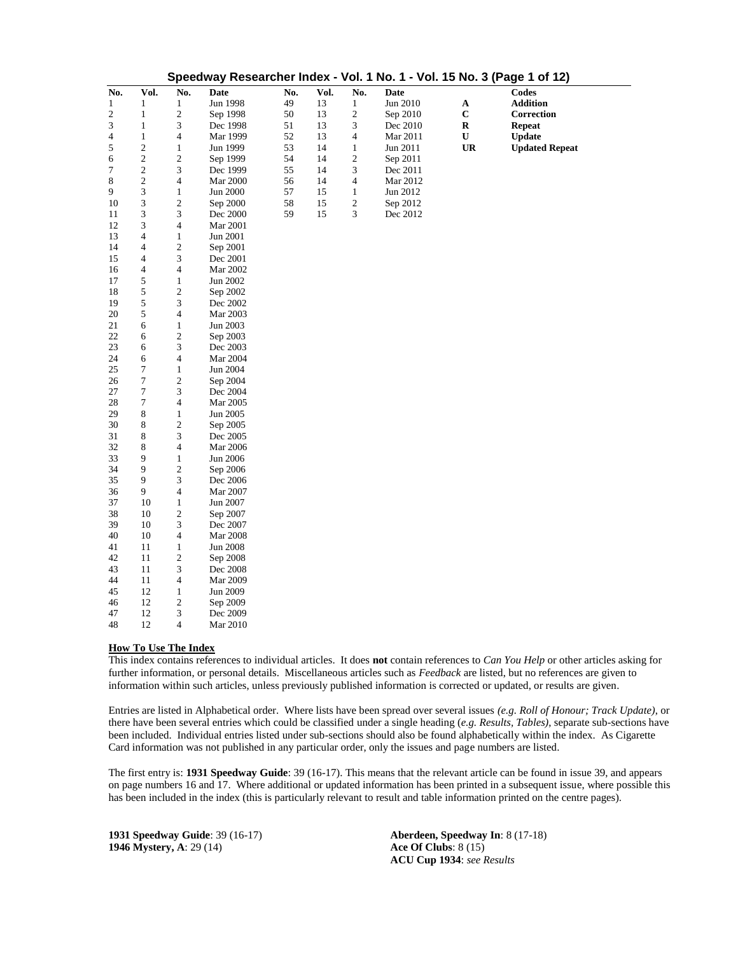| Speedway Researcher Index - Vol. 1 No. 1 - Vol. 15 No. 3 (Page 1 of 12) |                  |                         |                 |     |      |                |             |             |                       |  |
|-------------------------------------------------------------------------|------------------|-------------------------|-----------------|-----|------|----------------|-------------|-------------|-----------------------|--|
| No.                                                                     | Vol.             | No.                     | <b>Date</b>     | No. | Vol. | No.            | <b>Date</b> |             | <b>Codes</b>          |  |
| $\mathbf{1}$                                                            | $\mathbf{1}$     | 1                       | Jun 1998        | 49  | 13   | $\mathbf{1}$   | Jun 2010    | $\mathbf A$ | <b>Addition</b>       |  |
| $\overline{c}$                                                          | $\mathbf{1}$     | $\mathbf{2}$            | Sep 1998        | 50  | 13   | $\overline{c}$ | Sep 2010    | $\mathbf C$ | Correction            |  |
| $\ensuremath{\mathfrak{Z}}$                                             | $\,1$            | 3                       | Dec 1998        | 51  | 13   | 3              | Dec 2010    | $\mathbf R$ | <b>Repeat</b>         |  |
| 4                                                                       | $\mathbf{1}$     | 4                       | Mar 1999        | 52  | 13   | 4              | Mar 2011    | U           | <b>Update</b>         |  |
| 5                                                                       | $\overline{c}$   | $\mathbf{1}$            | Jun 1999        | 53  | 14   | $\mathbf{1}$   | Jun 2011    | <b>UR</b>   | <b>Updated Repeat</b> |  |
| 6                                                                       | $\boldsymbol{2}$ | $\boldsymbol{2}$        | Sep 1999        | 54  | 14   | $\sqrt{2}$     | Sep 2011    |             |                       |  |
| 7                                                                       | $\overline{c}$   | 3                       | Dec 1999        | 55  | 14   | 3              | Dec 2011    |             |                       |  |
| 8                                                                       | $\overline{c}$   | $\overline{\mathbf{4}}$ | Mar 2000        | 56  | 14   | 4              | Mar 2012    |             |                       |  |
| 9                                                                       | 3                | $\mathbf{1}$            | Jun 2000        | 57  | 15   | $\mathbf{1}$   | Jun 2012    |             |                       |  |
| 10                                                                      | 3                | $\mathfrak{2}$          | Sep 2000        | 58  | 15   | $\overline{c}$ | Sep 2012    |             |                       |  |
| 11                                                                      | 3                | 3                       | Dec 2000        | 59  | 15   | 3              | Dec 2012    |             |                       |  |
| 12                                                                      | 3                | 4                       | <b>Mar 2001</b> |     |      |                |             |             |                       |  |
| 13                                                                      | 4                | $\mathbf{1}$            | Jun 2001        |     |      |                |             |             |                       |  |
| 14                                                                      | $\overline{4}$   | $\boldsymbol{2}$        | Sep 2001        |     |      |                |             |             |                       |  |
| 15                                                                      | 4                | 3                       | Dec 2001        |     |      |                |             |             |                       |  |
| 16                                                                      | 4                | $\overline{\mathbf{4}}$ | Mar 2002        |     |      |                |             |             |                       |  |
| 17                                                                      | 5                | $\mathbf{1}$            | Jun 2002        |     |      |                |             |             |                       |  |
| 18                                                                      | 5                | 2                       | Sep 2002        |     |      |                |             |             |                       |  |
| 19                                                                      | 5                | 3                       | Dec 2002        |     |      |                |             |             |                       |  |
| 20                                                                      | 5                | 4                       | Mar 2003        |     |      |                |             |             |                       |  |
| 21                                                                      | 6                | $\mathbf{1}$            | Jun 2003        |     |      |                |             |             |                       |  |
| 22                                                                      | 6                | 2                       | Sep 2003        |     |      |                |             |             |                       |  |
| 23                                                                      | 6                | 3                       | Dec 2003        |     |      |                |             |             |                       |  |
| 24                                                                      | 6                | 4                       | Mar 2004        |     |      |                |             |             |                       |  |
| 25                                                                      | 7                | 1                       | Jun 2004        |     |      |                |             |             |                       |  |
| 26                                                                      | $\tau$           | $\boldsymbol{2}$        | Sep 2004        |     |      |                |             |             |                       |  |
| $27\,$                                                                  | 7                | 3                       | Dec 2004        |     |      |                |             |             |                       |  |
| 28                                                                      | 7                | 4                       | Mar 2005        |     |      |                |             |             |                       |  |
| 29                                                                      | 8                | $\mathbf{1}$            | Jun 2005        |     |      |                |             |             |                       |  |
| 30                                                                      | 8                | $\boldsymbol{2}$        | Sep 2005        |     |      |                |             |             |                       |  |
| 31                                                                      | 8                | 3                       | Dec 2005        |     |      |                |             |             |                       |  |
| 32                                                                      | 8                | 4                       | Mar 2006        |     |      |                |             |             |                       |  |
| 33                                                                      | 9                | $\mathbf{1}$            | Jun 2006        |     |      |                |             |             |                       |  |
| 34                                                                      | 9                | $\boldsymbol{2}$        | Sep 2006        |     |      |                |             |             |                       |  |
| 35                                                                      | 9                | 3                       | Dec 2006        |     |      |                |             |             |                       |  |
| 36                                                                      | 9                | 4                       | Mar 2007        |     |      |                |             |             |                       |  |
| 37                                                                      | 10               | $\mathbf{1}$            | Jun 2007        |     |      |                |             |             |                       |  |
| 38                                                                      | 10               | $\mathbf{2}$            | Sep 2007        |     |      |                |             |             |                       |  |
| 39                                                                      | 10               | 3                       | Dec 2007        |     |      |                |             |             |                       |  |
| 40                                                                      | 10               | 4                       | <b>Mar 2008</b> |     |      |                |             |             |                       |  |
| 41                                                                      | 11               | $\mathbf{1}$            | Jun 2008        |     |      |                |             |             |                       |  |
| 42                                                                      | 11               | $\boldsymbol{2}$        | Sep 2008        |     |      |                |             |             |                       |  |
| 43                                                                      | 11               | 3                       | Dec 2008        |     |      |                |             |             |                       |  |
| 44                                                                      | 11               | 4                       | Mar 2009        |     |      |                |             |             |                       |  |
| 45                                                                      | 12               | $\,1$                   | Jun 2009        |     |      |                |             |             |                       |  |
| 46                                                                      | 12               | $\boldsymbol{2}$        | Sep 2009        |     |      |                |             |             |                       |  |
| 47                                                                      | 12               | 3                       | Dec 2009        |     |      |                |             |             |                       |  |
| 48                                                                      | 12               | $\overline{4}$          | Mar 2010        |     |      |                |             |             |                       |  |

## **How To Use The Index**

This index contains references to individual articles. It does **not** contain references to *Can You Help* or other articles asking for further information, or personal details. Miscellaneous articles such as *Feedback* are listed, but no references are given to information within such articles, unless previously published information is corrected or updated, or results are given.

Entries are listed in Alphabetical order. Where lists have been spread over several issues *(e.g. Roll of Honour; Track Update)*, or there have been several entries which could be classified under a single heading (*e.g. Results, Tables)*, separate sub-sections have been included. Individual entries listed under sub-sections should also be found alphabetically within the index. As Cigarette Card information was not published in any particular order, only the issues and page numbers are listed.

The first entry is: **1931 Speedway Guide**: 39 (16-17). This means that the relevant article can be found in issue 39, and appears on page numbers 16 and 17. Where additional or updated information has been printed in a subsequent issue, where possible this has been included in the index (this is particularly relevant to result and table information printed on the centre pages).

**1931 Speedway Guide**: 39 (16-17) **1946 Mystery, A**: 29 (14)

**Aberdeen, Speedway In**: 8 (17-18) **Ace Of Clubs**: 8 (15) **ACU Cup 1934**: *see Results*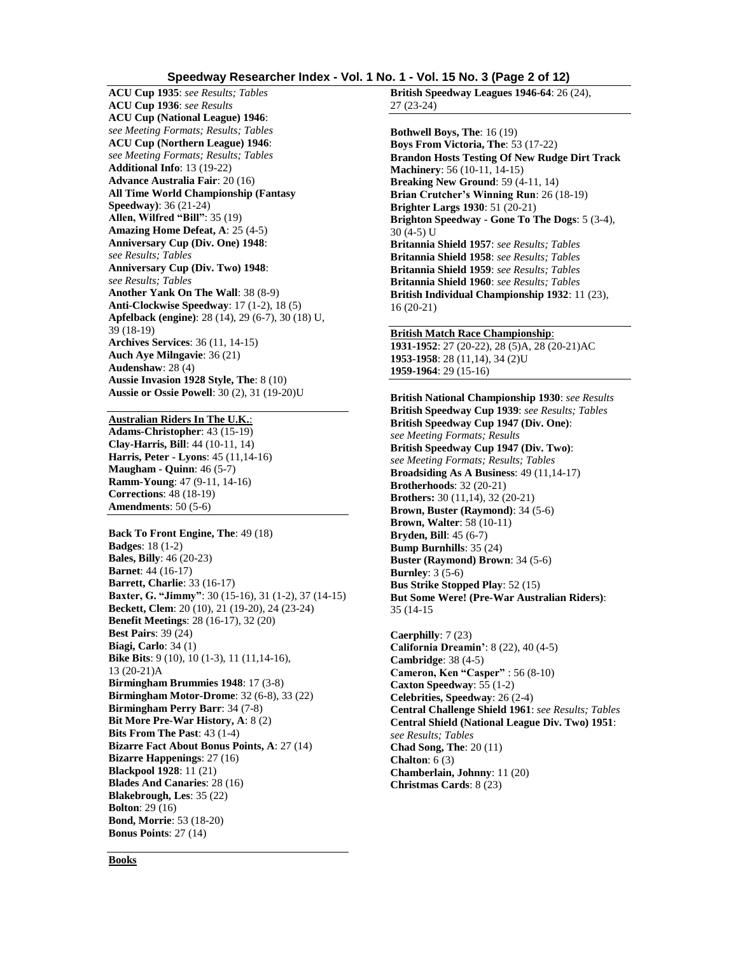## **Speedway Researcher Index - Vol. 1 No. 1 - Vol. 15 No. 3 (Page 2 of 12)**

**ACU Cup 1935**: *see Results; Tables* **ACU Cup 1936**: *see Results* **ACU Cup (National League) 1946**: *see Meeting Formats; Results; Tables* **ACU Cup (Northern League) 1946**: *see Meeting Formats; Results; Tables* **Additional Info**: 13 (19-22) **Advance Australia Fair**: 20 (16) **All Time World Championship (Fantasy Speedway)**: 36 (21-24) **Allen, Wilfred "Bill"**: 35 (19) **Amazing Home Defeat, A**: 25 (4-5) **Anniversary Cup (Div. One) 1948**: *see Results; Tables* **Anniversary Cup (Div. Two) 1948**: *see Results; Tables* **Another Yank On The Wall**: 38 (8-9) **Anti-Clockwise Speedway**: 17 (1-2), 18 (5) **Apfelback (engine)**: 28 (14), 29 (6-7), 30 (18) U, 39 (18-19) **Archives Services**: 36 (11, 14-15) **Auch Aye Milngavie**: 36 (21) **Audenshaw**: 28 (4) **Aussie Invasion 1928 Style, The**: 8 (10) **Aussie or Ossie Powell**: 30 (2), 31 (19-20)U

## **Australian Riders In The U.K.**:

**Adams-Christopher**: 43 (15-19) **Clay-Harris, Bill**: 44 (10-11, 14) **Harris, Peter - Lyons**: 45 (11,14-16) **Maugham - Quinn**: 46 (5-7) **Ramm-Young**: 47 (9-11, 14-16) **Corrections**: 48 (18-19) **Amendments**: 50 (5-6)

#### **Back To Front Engine, The**: 49 (18)

**Badges**: 18 (1-2) **Bales, Billy**: 46 (20-23) **Barnet**: 44 (16-17) **Barrett, Charlie**: 33 (16-17) **Baxter, G. "Jimmy"**: 30 (15-16), 31 (1-2), 37 (14-15) **Beckett, Clem**: 20 (10), 21 (19-20), 24 (23-24) **Benefit Meetings**: 28 (16-17), 32 (20) **Best Pairs**: 39 (24) **Biagi, Carlo**: 34 (1) **Bike Bits**: 9 (10), 10 (1-3), 11 (11,14-16), 13 (20-21)A **Birmingham Brummies 1948**: 17 (3-8) **Birmingham Motor-Drome**: 32 (6-8), 33 (22) **Birmingham Perry Barr**: 34 (7-8) **Bit More Pre-War History, A**: 8 (2) **Bits From The Past**: 43 (1-4) **Bizarre Fact About Bonus Points, A**: 27 (14) **Bizarre Happenings**: 27 (16) **Blackpool 1928**: 11 (21) **Blades And Canaries**: 28 (16) **Blakebrough, Les**: 35 (22) **Bolton**: 29 (16) **Bond, Morrie**: 53 (18-20) **Bonus Points**: 27 (14)

**British Speedway Leagues 1946-64**: 26 (24), 27 (23-24)

**Bothwell Boys, The**: 16 (19) **Boys From Victoria, The**: 53 (17-22) **Brandon Hosts Testing Of New Rudge Dirt Track Machinery**: 56 (10-11, 14-15) **Breaking New Ground**: 59 (4-11, 14) **Brian Crutcher's Winning Run**: 26 (18-19) **Brighter Largs 1930**: 51 (20-21) **Brighton Speedway - Gone To The Dogs**: 5 (3-4), 30 (4-5) U **Britannia Shield 1957**: *see Results; Tables* **Britannia Shield 1958**: *see Results; Tables* **Britannia Shield 1959**: *see Results; Tables* **Britannia Shield 1960**: *see Results; Tables* **British Individual Championship 1932**: 11 (23), 16 (20-21)

## **British Match Race Championship**:

**1931-1952**: 27 (20-22), 28 (5)A, 28 (20-21)AC **1953-1958**: 28 (11,14), 34 (2)U **1959-1964**: 29 (15-16)

**British National Championship 1930**: *see Results* **British Speedway Cup 1939**: *see Results; Tables* **British Speedway Cup 1947 (Div. One)**: *see Meeting Formats; Results* **British Speedway Cup 1947 (Div. Two)**: *see Meeting Formats; Results; Tables* **Broadsiding As A Business**: 49 (11,14-17) **Brotherhoods**: 32 (20-21) **Brothers:** 30 (11,14), 32 (20-21) **Brown, Buster (Raymond)**: 34 (5-6) **Brown, Walter**: 58 (10-11) **Bryden, Bill**: 45 (6-7) **Bump Burnhills**: 35 (24) **Buster (Raymond) Brown**: 34 (5-6) **Burnley**: 3 (5-6) **Bus Strike Stopped Play**: 52 (15) **But Some Were! (Pre-War Australian Riders)**: 35 (14-15

**Caerphilly**: 7 (23) **California Dreamin'**: 8 (22), 40 (4-5) **Cambridge**: 38 (4-5) **Cameron, Ken "Casper"** : 56 (8-10) **Caxton Speedway**: 55 (1-2) **Celebrities, Speedway**: 26 (2-4) **Central Challenge Shield 1961**: *see Results; Tables* **Central Shield (National League Div. Two) 1951**: *see Results; Tables* **Chad Song, The**: 20 (11) **Chalton**: 6 (3) **Chamberlain, Johnny**: 11 (20) **Christmas Cards**: 8 (23)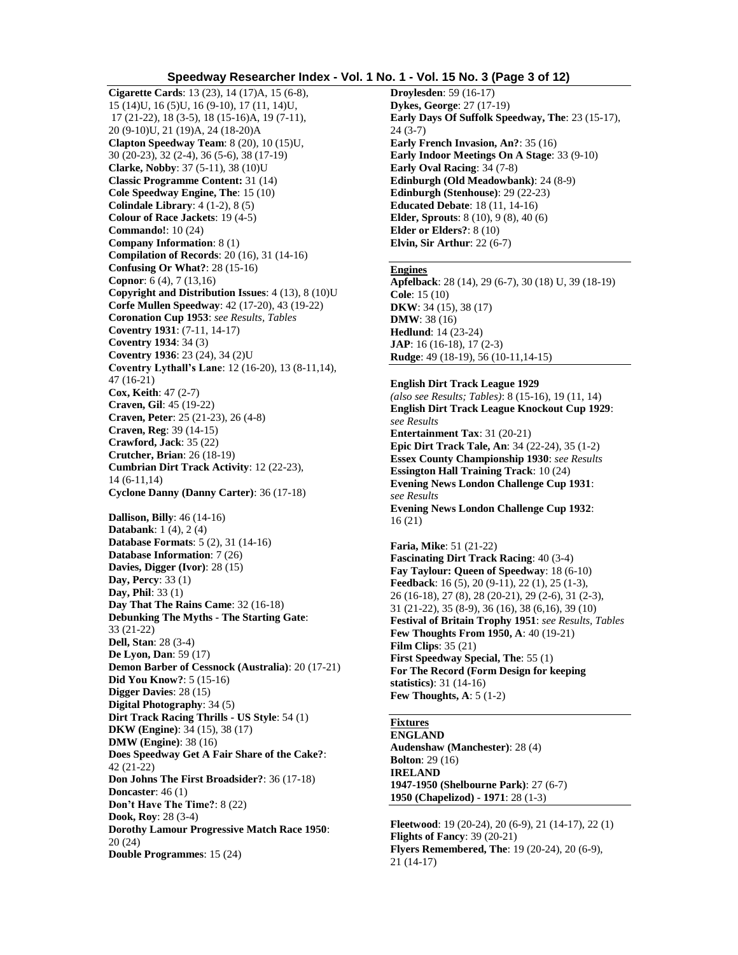## **Speedway Researcher Index - Vol. 1 No. 1 - Vol. 15 No. 3 (Page 3 of 12)**

**Cigarette Cards**: 13 (23), 14 (17)A, 15 (6-8), 15 (14)U, 16 (5)U, 16 (9-10), 17 (11, 14)U, 17 (21-22), 18 (3-5), 18 (15-16)A, 19 (7-11), 20 (9-10)U, 21 (19)A, 24 (18-20)A **Clapton Speedway Team**: 8 (20), 10 (15)U, 30 (20-23), 32 (2-4), 36 (5-6), 38 (17-19) **Clarke, Nobby**: 37 (5-11), 38 (10)U **Classic Programme Content:** 31 (14) **Cole Speedway Engine, The**: 15 (10) **Colindale Library**: 4 (1-2), 8 (5) **Colour of Race Jackets**: 19 (4-5) **Commando!**: 10 (24) **Company Information**: 8 (1) **Compilation of Records**: 20 (16), 31 (14-16) **Confusing Or What?**: 28 (15-16) **Copnor**: 6 (4), 7 (13,16) **Copyright and Distribution Issues**: 4 (13), 8 (10)U **Corfe Mullen Speedway**: 42 (17-20), 43 (19-22) **Coronation Cup 1953**: *see Results, Tables* **Coventry 1931**: (7-11, 14-17) **Coventry 1934**: 34 (3) **Coventry 1936**: 23 (24), 34 (2)U **Coventry Lythall's Lane**: 12 (16-20), 13 (8-11,14), 47 (16-21) **Cox, Keith**: 47 (2-7) **Craven, Gil**: 45 (19-22) **Craven, Peter**: 25 (21-23), 26 (4-8) **Craven, Reg**: 39 (14-15) **Crawford, Jack**: 35 (22) **Crutcher, Brian**: 26 (18-19) **Cumbrian Dirt Track Activity**: 12 (22-23), 14 (6-11,14) **Cyclone Danny (Danny Carter)**: 36 (17-18) **Dallison, Billy**: 46 (14-16) **Databank**: 1 (4), 2 (4) **Database Formats**: 5 (2), 31 (14-16) **Database Information**: 7 (26) **Davies, Digger (Ivor)**: 28 (15) **Day, Percy**: 33 (1) **Day, Phil**: 33 (1) **Day That The Rains Came**: 32 (16-18) **Debunking The Myths - The Starting Gate**: 33 (21-22) **Dell, Stan**: 28 (3-4) **De Lyon, Dan**: 59 (17) **Demon Barber of Cessnock (Australia)**: 20 (17-21) **Did You Know?**: 5 (15-16) **Digger Davies**: 28 (15) **Digital Photography**: 34 (5) **Dirt Track Racing Thrills - US Style**: 54 (1) **DKW (Engine)**: 34 (15), 38 (17) **DMW (Engine)**: 38 (16) **Does Speedway Get A Fair Share of the Cake?**: 42 (21-22) **Don Johns The First Broadsider?**: 36 (17-18) **Doncaster**: 46 (1) **Don't Have The Time?**: 8 (22) **Dook, Roy**: 28 (3-4) **Dorothy Lamour Progressive Match Race 1950**: 20 (24) **Double Programmes**: 15 (24)

**Droylesden**: 59 (16-17) **Dykes, George**: 27 (17-19) **Early Days Of Suffolk Speedway, The**: 23 (15-17), 24 (3-7) **Early French Invasion, An?**: 35 (16) **Early Indoor Meetings On A Stage**: 33 (9-10) **Early Oval Racing**: 34 (7-8) **Edinburgh (Old Meadowbank)**: 24 (8-9) **Edinburgh (Stenhouse)**: 29 (22-23) **Educated Debate**: 18 (11, 14-16) **Elder, Sprouts**: 8 (10), 9 (8), 40 (6) **Elder or Elders?**: 8 (10) **Elvin, Sir Arthur**: 22 (6-7)

#### **Engines**

**Apfelback**: 28 (14), 29 (6-7), 30 (18) U, 39 (18-19) **Cole**: 15 (10) **DKW**: 34 (15), 38 (17) **DMW**: 38 (16) **Hedlund**: 14 (23-24) **JAP**: 16 (16-18), 17 (2-3) **Rudge**: 49 (18-19), 56 (10-11,14-15)

#### **English Dirt Track League 1929**

*(also see Results; Tables)*: 8 (15-16), 19 (11, 14) **English Dirt Track League Knockout Cup 1929**: *see Results* **Entertainment Tax**: 31 (20-21) **Epic Dirt Track Tale, An**: 34 (22-24), 35 (1-2) **Essex County Championship 1930**: *see Results* **Essington Hall Training Track**: 10 (24) **Evening News London Challenge Cup 1931**: *see Results* **Evening News London Challenge Cup 1932**: 16 (21)

**Faria, Mike**: 51 (21-22) **Fascinating Dirt Track Racing**: 40 (3-4) **Fay Taylour: Queen of Speedway**: 18 (6-10) **Feedback**: 16 (5), 20 (9-11), 22 (1), 25 (1-3), 26 (16-18), 27 (8), 28 (20-21), 29 (2-6), 31 (2-3), 31 (21-22), 35 (8-9), 36 (16), 38 (6,16), 39 (10) **Festival of Britain Trophy 1951**: *see Results, Tables* **Few Thoughts From 1950, A**: 40 (19-21) **Film Clips**: 35 (21) **First Speedway Special, The**: 55 (1) **For The Record (Form Design for keeping statistics)**: 31 (14-16) **Few Thoughts, A**: 5 (1-2)

# **Fixtures**

**ENGLAND Audenshaw (Manchester)**: 28 (4) **Bolton**: 29 (16) **IRELAND 1947-1950 (Shelbourne Park)**: 27 (6-7) **1950 (Chapelizod) - 1971**: 28 (1-3)

**Fleetwood**: 19 (20-24), 20 (6-9), 21 (14-17), 22 (1) **Flights of Fancy**: 39 (20-21) **Flyers Remembered, The**: 19 (20-24), 20 (6-9), 21 (14-17)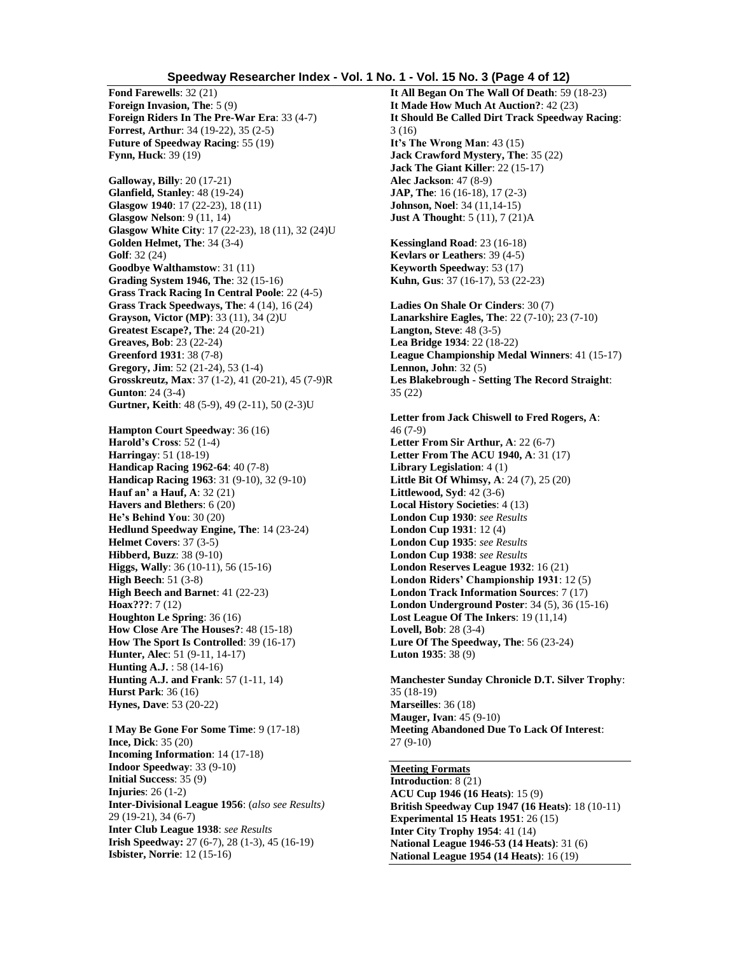#### **Speedway Researcher Index - Vol. 1 No. 1 - Vol. 15 No. 3 (Page 4 of 12)**

**Fond Farewells**: 32 (21) **Foreign Invasion, The**: 5 (9) **Foreign Riders In The Pre-War Era**: 33 (4-7) **Forrest, Arthur**: 34 (19-22), 35 (2-5) **Future of Speedway Racing**: 55 (19) **Fynn, Huck**: 39 (19)

**Galloway, Billy**: 20 (17-21) **Glanfield, Stanley**: 48 (19-24) **Glasgow 1940**: 17 (22-23), 18 (11) **Glasgow Nelson**: 9 (11, 14) **Glasgow White City**: 17 (22-23), 18 (11), 32 (24)U **Golden Helmet, The**: 34 (3-4) **Golf**: 32 (24) **Goodbye Walthamstow**: 31 (11) **Grading System 1946, The**: 32 (15-16) **Grass Track Racing In Central Poole**: 22 (4-5) **Grass Track Speedways, The**: 4 (14), 16 (24) **Grayson, Victor (MP)**: 33 (11), 34 (2)U **Greatest Escape?, The**: 24 (20-21) **Greaves, Bob**: 23 (22-24) **Greenford 1931**: 38 (7-8) **Gregory, Jim**: 52 (21-24), 53 (1-4) **Grosskreutz, Max**: 37 (1-2), 41 (20-21), 45 (7-9)R **Gunton**: 24 (3-4) **Gurtner, Keith**: 48 (5-9), 49 (2-11), 50 (2-3)U

**Hampton Court Speedway**: 36 (16) **Harold's Cross**: 52 (1-4) **Harringay**: 51 (18-19) **Handicap Racing 1962-64**: 40 (7-8) **Handicap Racing 1963**: 31 (9-10), 32 (9-10) **Hauf an' a Hauf, A**: 32 (21) **Havers and Blethers**: 6 (20) **He's Behind You**: 30 (20) **Hedlund Speedway Engine, The**: 14 (23-24) **Helmet Covers**: 37 (3-5) **Hibberd, Buzz**: 38 (9-10) **Higgs, Wally**: 36 (10-11), 56 (15-16) **High Beech**: 51 (3-8) **High Beech and Barnet**: 41 (22-23) **Hoax???**: 7 (12) **Houghton Le Spring**: 36 (16) **How Close Are The Houses?**: 48 (15-18) **How The Sport Is Controlled**: 39 (16-17) **Hunter, Alec**: 51 (9-11, 14-17) **Hunting A.J.** : 58 (14-16) **Hunting A.J. and Frank**: 57 (1-11, 14) **Hurst Park**: 36 (16) **Hynes, Dave**: 53 (20-22)

**I May Be Gone For Some Time**: 9 (17-18) **Ince, Dick**: 35 (20) **Incoming Information**: 14 (17-18) **Indoor Speedway**: 33 (9-10) **Initial Success**: 35 (9) **Injuries**: 26 (1-2) **Inter-Divisional League 1956**: (*also see Results)* 29 (19-21), 34 (6-7) **Inter Club League 1938**: *see Results* **Irish Speedway:** 27 (6-7), 28 (1-3), 45 (16-19) **Isbister, Norrie**: 12 (15-16)

**It All Began On The Wall Of Death**: 59 (18-23) **It Made How Much At Auction?**: 42 (23) **It Should Be Called Dirt Track Speedway Racing**: 3 (16) **It's The Wrong Man**: 43 (15) **Jack Crawford Mystery, The**: 35 (22) **Jack The Giant Killer**: 22 (15-17) **Alec Jackson**: 47 (8-9) **JAP, The**: 16 (16-18), 17 (2-3) **Johnson, Noel**: 34 (11,14-15) **Just A Thought**: 5 (11), 7 (21)A

**Kessingland Road**: 23 (16-18) **Kevlars or Leathers**: 39 (4-5) **Keyworth Speedway**: 53 (17) **Kuhn, Gus**: 37 (16-17), 53 (22-23)

**Ladies On Shale Or Cinders**: 30 (7) **Lanarkshire Eagles, The**: 22 (7-10); 23 (7-10) **Langton, Steve**: 48 (3-5) **Lea Bridge 1934**: 22 (18-22) **League Championship Medal Winners**: 41 (15-17) **Lennon, John**: 32 (5) **Les Blakebrough - Setting The Record Straight**: 35 (22)

**Letter from Jack Chiswell to Fred Rogers, A**: 46 (7-9) **Letter From Sir Arthur, A**: 22 (6-7) **Letter From The ACU 1940, A**: 31 (17) **Library Legislation**: 4 (1) **Little Bit Of Whimsy, A**: 24 (7), 25 (20) **Littlewood, Syd**: 42 (3-6) **Local History Societies**: 4 (13) **London Cup 1930**: *see Results* **London Cup 1931**: 12 (4) **London Cup 1935**: *see Results* **London Cup 1938**: *see Results* **London Reserves League 1932**: 16 (21) **London Riders' Championship 1931**: 12 (5) **London Track Information Sources**: 7 (17) **London Underground Poster**: 34 (5), 36 (15-16) **Lost League Of The Inkers**: 19 (11,14) **Lovell, Bob**: 28 (3-4) **Lure Of The Speedway, The**: 56 (23-24) **Luton 1935**: 38 (9)

**Manchester Sunday Chronicle D.T. Silver Trophy**: 35 (18-19) **Marseilles**: 36 (18) **Mauger, Ivan**: 45 (9-10) **Meeting Abandoned Due To Lack Of Interest**: 27 (9-10)

**Meeting Formats Introduction**: 8 (21) **ACU Cup 1946 (16 Heats)**: 15 (9) **British Speedway Cup 1947 (16 Heats)**: 18 (10-11) **Experimental 15 Heats 1951**: 26 (15) **Inter City Trophy 1954**: 41 (14) **National League 1946-53 (14 Heats)**: 31 (6) **National League 1954 (14 Heats)**: 16 (19)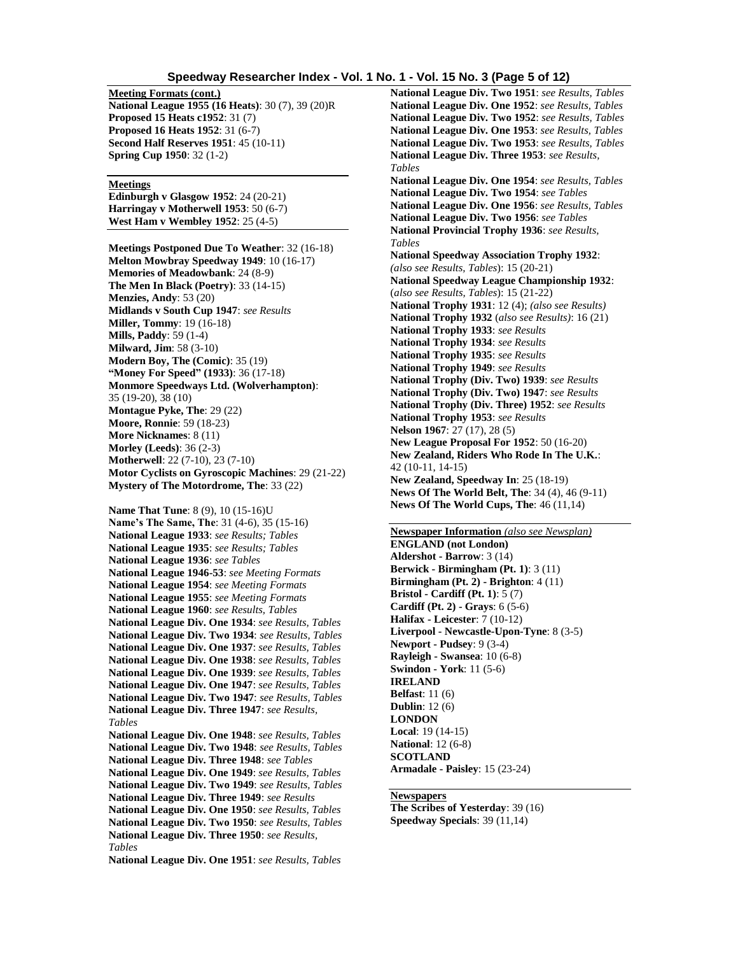#### **Speedway Researcher Index - Vol. 1 No. 1 - Vol. 15 No. 3 (Page 5 of 12)**

**Meeting Formats (cont.) National League 1955 (16 Heats)**: 30 (7), 39 (20)R **Proposed 15 Heats c1952**: 31 (7) **Proposed 16 Heats 1952**: 31 (6-7) **Second Half Reserves 1951**: 45 (10-11) **Spring Cup 1950**: 32 (1-2)

#### **Meetings**

**Edinburgh v Glasgow 1952**: 24 (20-21) **Harringay v Motherwell 1953**: 50 (6-7) **West Ham v Wembley 1952**: 25 (4-5)

**Meetings Postponed Due To Weather**: 32 (16-18) **Melton Mowbray Speedway 1949**: 10 (16-17) **Memories of Meadowbank**: 24 (8-9) **The Men In Black (Poetry)**: 33 (14-15) **Menzies, Andy**: 53 (20) **Midlands v South Cup 1947**: *see Results* **Miller, Tommy**: 19 (16-18) **Mills, Paddy**: 59 (1-4) **Milward, Jim**: 58 (3-10) **Modern Boy, The (Comic)**: 35 (19) **"Money For Speed" (1933)**: 36 (17-18) **Monmore Speedways Ltd. (Wolverhampton)**: 35 (19-20), 38 (10) **Montague Pyke, The**: 29 (22) **Moore, Ronnie**: 59 (18-23) **More Nicknames**: 8 (11) **Morley (Leeds)**: 36 (2-3) **Motherwell**: 22 (7-10), 23 (7-10) **Motor Cyclists on Gyroscopic Machines**: 29 (21-22) **Mystery of The Motordrome, The**: 33 (22)

**Name That Tune**: 8 (9), 10 (15-16)U **Name's The Same, The**: 31 (4-6), 35 (15-16) **National League 1933**: *see Results; Tables* **National League 1935**: *see Results; Tables* **National League 1936**: *see Tables* **National League 1946-53**: *see Meeting Formats* **National League 1954**: *see Meeting Formats* **National League 1955**: *see Meeting Formats* **National League 1960**: *see Results, Tables* **National League Div. One 1934**: *see Results, Tables* **National League Div. Two 1934**: *see Results, Tables* **National League Div. One 1937**: *see Results, Tables* **National League Div. One 1938**: *see Results, Tables* **National League Div. One 1939**: *see Results, Tables* **National League Div. One 1947**: *see Results, Tables* **National League Div. Two 1947**: *see Results, Tables* **National League Div. Three 1947**: *see Results, Tables* **National League Div. One 1948**: *see Results, Tables* **National League Div. Two 1948**: *see Results, Tables* **National League Div. Three 1948**: *see Tables* **National League Div. One 1949**: *see Results, Tables* **National League Div. Two 1949**: *see Results, Tables* **National League Div. Three 1949**: *see Results* **National League Div. One 1950**: *see Results, Tables* **National League Div. Two 1950**: *see Results, Tables* **National League Div. Three 1950**: *see Results, Tables* **National League Div. One 1951**: *see Results, Tables*

**National League Div. Two 1951**: *see Results, Tables* **National League Div. One 1952**: *see Results, Tables* **National League Div. Two 1952**: *see Results, Tables* **National League Div. One 1953**: *see Results, Tables* **National League Div. Two 1953**: *see Results, Tables* **National League Div. Three 1953**: *see Results, Tables* **National League Div. One 1954**: *see Results, Tables* **National League Div. Two 1954**: *see Tables* **National League Div. One 1956**: *see Results, Tables* **National League Div. Two 1956**: *see Tables* **National Provincial Trophy 1936**: *see Results, Tables* **National Speedway Association Trophy 1932**: *(also see Results, Tables*): 15 (20-21) **National Speedway League Championship 1932**: (*also see Results, Tables*): 15 (21-22) **National Trophy 1931**: 12 (4); *(also see Results)* **National Trophy 1932** (*also see Results)*: 16 (21) **National Trophy 1933**: *see Results* **National Trophy 1934**: *see Results* **National Trophy 1935**: *see Results* **National Trophy 1949**: *see Results* **National Trophy (Div. Two) 1939**: *see Results* **National Trophy (Div. Two) 1947**: *see Results* **National Trophy (Div. Three) 1952**: *see Results* **National Trophy 1953**: *see Results* **Nelson 1967**: 27 (17), 28 (5) **New League Proposal For 1952**: 50 (16-20) **New Zealand, Riders Who Rode In The U.K.**: 42 (10-11, 14-15) **New Zealand, Speedway In**: 25 (18-19) **News Of The World Belt, The**: 34 (4), 46 (9-11) **News Of The World Cups, The**: 46 (11,14)

**Newspaper Information** *(also see Newsplan)* **ENGLAND (not London) Aldershot - Barrow**: 3 (14) **Berwick - Birmingham (Pt. 1)**: 3 (11) **Birmingham (Pt. 2) - Brighton**: 4 (11) **Bristol - Cardiff (Pt. 1)**: 5 (7) **Cardiff (Pt. 2) - Grays**: 6 (5-6) **Halifax - Leicester**: 7 (10-12) **Liverpool - Newcastle-Upon-Tyne**: 8 (3-5) **Newport - Pudsey**: 9 (3-4) **Rayleigh - Swansea**: 10 (6-8) **Swindon - York**: 11 (5-6) **IRELAND Belfast**: 11 (6) **Dublin**: 12 (6) **LONDON Local**: 19 (14-15) **National**: 12 (6-8) **SCOTLAND Armadale - Paisley**: 15 (23-24)

## **Newspapers**

**The Scribes of Yesterday**: 39 (16) **Speedway Specials**: 39 (11,14)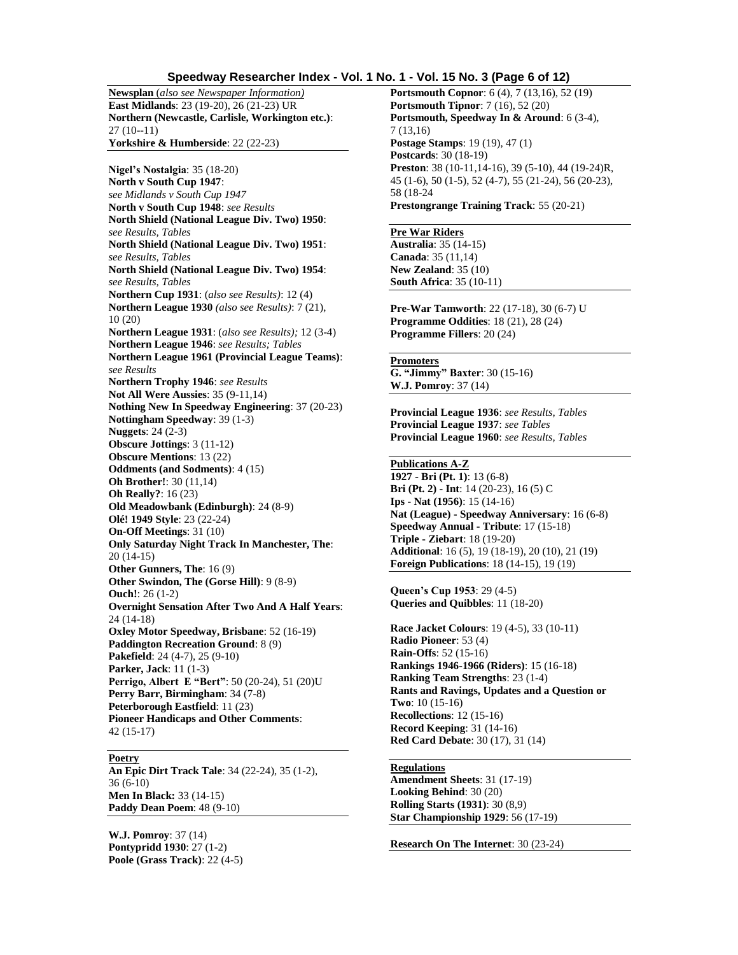#### **Speedway Researcher Index - Vol. 1 No. 1 - Vol. 15 No. 3 (Page 6 of 12)**

**Newsplan** (*also see Newspaper Information)* **East Midlands**: 23 (19-20), 26 (21-23) UR **Northern (Newcastle, Carlisle, Workington etc.)**: 27 (10--11) **Yorkshire & Humberside**: 22 (22-23)

**Nigel's Nostalgia**: 35 (18-20) **North v South Cup 1947**: *see Midlands v South Cup 1947* **North v South Cup 1948**: *see Results* **North Shield (National League Div. Two) 1950**: *see Results, Tables* **North Shield (National League Div. Two) 1951**: *see Results, Tables* **North Shield (National League Div. Two) 1954**: *see Results, Tables* **Northern Cup 1931**: (*also see Results)*: 12 (4) **Northern League 1930** *(also see Results)*: 7 (21), 10 (20) **Northern League 1931**: (*also see Results);* 12 (3-4) **Northern League 1946**: *see Results; Tables* **Northern League 1961 (Provincial League Teams)**: *see Results* **Northern Trophy 1946**: *see Results* **Not All Were Aussies**: 35 (9-11,14) **Nothing New In Speedway Engineering**: 37 (20-23) **Nottingham Speedway**: 39 (1-3) **Nuggets**: 24 (2-3) **Obscure Jottings**: 3 (11-12) **Obscure Mentions**: 13 (22) **Oddments (and Sodments)**: 4 (15) **Oh Brother!**: 30 (11,14) **Oh Really?**: 16 (23) **Old Meadowbank (Edinburgh)**: 24 (8-9) **Olé! 1949 Style**: 23 (22-24) **On-Off Meetings**: 31 (10) **Only Saturday Night Track In Manchester, The**: 20 (14-15) **Other Gunners, The**: 16 (9) **Other Swindon, The (Gorse Hill)**: 9 (8-9) **Ouch!**: 26 (1-2) **Overnight Sensation After Two And A Half Years**: 24 (14-18) **Oxley Motor Speedway, Brisbane**: 52 (16-19) **Paddington Recreation Ground**: 8 (9) **Pakefield**: 24 (4-7), 25 (9-10) **Parker, Jack**: 11 (1-3) **Perrigo, Albert E "Bert"**: 50 (20-24), 51 (20)U **Perry Barr, Birmingham**: 34 (7-8) **Peterborough Eastfield**: 11 (23) **Pioneer Handicaps and Other Comments**: 42 (15-17)

#### **Poetry**

**An Epic Dirt Track Tale**: 34 (22-24), 35 (1-2), 36 (6-10) **Men In Black:** 33 (14-15) **Paddy Dean Poem**: 48 (9-10)

**W.J. Pomroy**: 37 (14) **Pontypridd 1930**: 27 (1-2) **Poole (Grass Track)**: 22 (4-5) **Portsmouth Copnor**: 6 (4), 7 (13,16), 52 (19) **Portsmouth Tipnor**: 7 (16), 52 (20) **Portsmouth, Speedway In & Around**: 6 (3-4), 7 (13,16) **Postage Stamps**: 19 (19), 47 (1) **Postcards**: 30 (18-19) **Preston**: 38 (10-11,14-16), 39 (5-10), 44 (19-24)R, 45 (1-6), 50 (1-5), 52 (4-7), 55 (21-24), 56 (20-23), 58 (18-24 **Prestongrange Training Track**: 55 (20-21)

## **Pre War Riders**

**Australia**: 35 (14-15) **Canada**: 35 (11,14) **New Zealand**: 35 (10) **South Africa**: 35 (10-11)

**Pre-War Tamworth**: 22 (17-18), 30 (6-7) U **Programme Oddities**: 18 (21), 28 (24) **Programme Fillers**: 20 (24)

**Promoters G. "Jimmy" Baxter**: 30 (15-16) **W.J. Pomroy**: 37 (14)

**Provincial League 1936**: *see Results, Tables* **Provincial League 1937**: *see Tables* **Provincial League 1960**: *see Results, Tables*

# **Publications A-Z**

**1927 - Bri (Pt. 1)**: 13 (6-8) **Bri (Pt. 2) - Int**: 14 (20-23), 16 (5) C **Ips - Nat (1956)**: 15 (14-16) **Nat (League) - Speedway Anniversary**: 16 (6-8) **Speedway Annual - Tribute**: 17 (15-18) **Triple - Ziebart**: 18 (19-20) **Additional**: 16 (5), 19 (18-19), 20 (10), 21 (19) **Foreign Publications**: 18 (14-15), 19 (19)

**Queen's Cup 1953**: 29 (4-5) **Queries and Quibbles**: 11 (18-20)

**Race Jacket Colours**: 19 (4-5), 33 (10-11) **Radio Pioneer**: 53 (4) **Rain-Offs**: 52 (15-16) **Rankings 1946-1966 (Riders)**: 15 (16-18) **Ranking Team Strengths**: 23 (1-4) **Rants and Ravings, Updates and a Question or Two**: 10 (15-16) **Recollections**: 12 (15-16) **Record Keeping**: 31 (14-16) **Red Card Debate**: 30 (17), 31 (14)

# **Regulations**

**Amendment Sheets**: 31 (17-19) **Looking Behind**: 30 (20) **Rolling Starts (1931)**: 30 (8,9) **Star Championship 1929**: 56 (17-19)

**Research On The Internet**: 30 (23-24)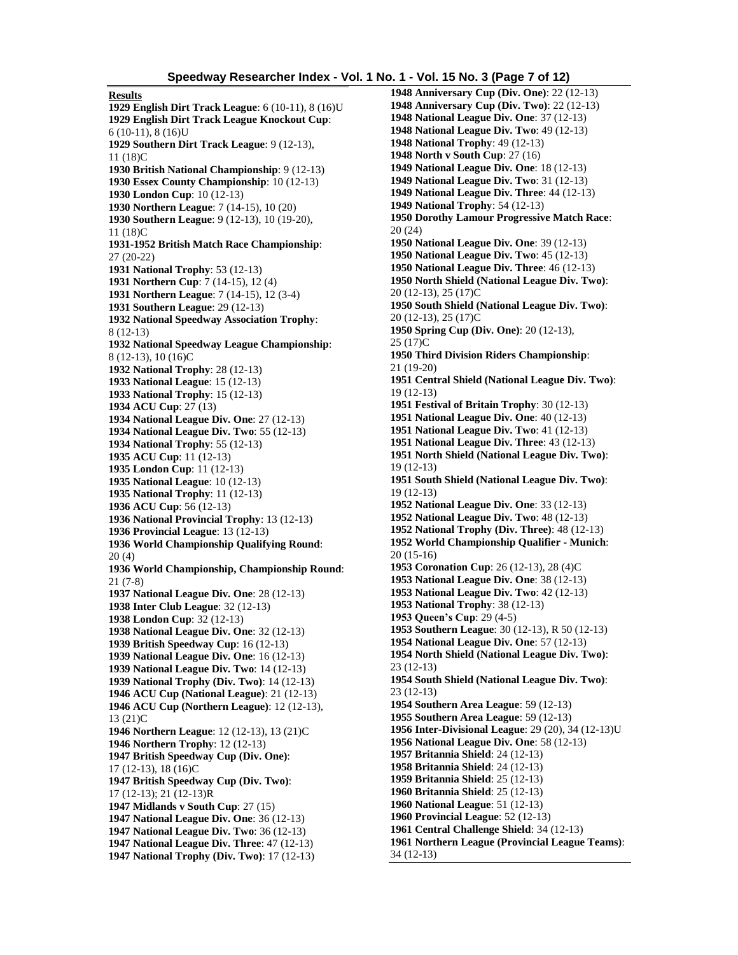**Results 1929 English Dirt Track League**: 6 (10-11), 8 (16)U **1929 English Dirt Track League Knockout Cup**: 6 (10-11), 8 (16)U **1929 Southern Dirt Track League**: 9 (12-13), 11 (18)C **1930 British National Championship**: 9 (12-13) **1930 Essex County Championship**: 10 (12-13) **1930 London Cup**: 10 (12-13) **1930 Northern League**: 7 (14-15), 10 (20) **1930 Southern League**: 9 (12-13), 10 (19-20), 11 (18)C **1931-1952 British Match Race Championship**: 27 (20-22) **1931 National Trophy**: 53 (12-13) **1931 Northern Cup**: 7 (14-15), 12 (4) **1931 Northern League**: 7 (14-15), 12 (3-4) **1931 Southern League**: 29 (12-13) **1932 National Speedway Association Trophy**: 8 (12-13) **1932 National Speedway League Championship**: 8 (12-13), 10 (16)C **1932 National Trophy**: 28 (12-13) **1933 National League**: 15 (12-13) **1933 National Trophy**: 15 (12-13) **1934 ACU Cup**: 27 (13) **1934 National League Div. One**: 27 (12-13) **1934 National League Div. Two**: 55 (12-13) **1934 National Trophy**: 55 (12-13) **1935 ACU Cup**: 11 (12-13) **1935 London Cup**: 11 (12-13) **1935 National League**: 10 (12-13) **1935 National Trophy**: 11 (12-13) **1936 ACU Cup**: 56 (12-13) **1936 National Provincial Trophy**: 13 (12-13) **1936 Provincial League**: 13 (12-13) **1936 World Championship Qualifying Round**: 20 (4) **1936 World Championship, Championship Round**: 21 (7-8) **1937 National League Div. One**: 28 (12-13) **1938 Inter Club League**: 32 (12-13) **1938 London Cup**: 32 (12-13) **1938 National League Div. One**: 32 (12-13) **1939 British Speedway Cup**: 16 (12-13) **1939 National League Div. One**: 16 (12-13) **1939 National League Div. Two**: 14 (12-13) **1939 National Trophy (Div. Two)**: 14 (12-13) **1946 ACU Cup (National League)**: 21 (12-13) **1946 ACU Cup (Northern League)**: 12 (12-13), 13 (21)C **1946 Northern League**: 12 (12-13), 13 (21)C **1946 Northern Trophy**: 12 (12-13) **1947 British Speedway Cup (Div. One)**: 17 (12-13), 18 (16)C **1947 British Speedway Cup (Div. Two)**: 17 (12-13); 21 (12-13)R **1947 Midlands v South Cup**: 27 (15) **1947 National League Div. One**: 36 (12-13) **1947 National League Div. Two**: 36 (12-13) **1947 National League Div. Three**: 47 (12-13) **1947 National Trophy (Div. Two)**: 17 (12-13)

**1948 Anniversary Cup (Div. One)**: 22 (12-13) **1948 Anniversary Cup (Div. Two)**: 22 (12-13) **1948 National League Div. One**: 37 (12-13) **1948 National League Div. Two**: 49 (12-13) **1948 National Trophy**: 49 (12-13) **1948 North v South Cup**: 27 (16) **1949 National League Div. One**: 18 (12-13) **1949 National League Div. Two**: 31 (12-13) **1949 National League Div. Three**: 44 (12-13) **1949 National Trophy**: 54 (12-13) **1950 Dorothy Lamour Progressive Match Race**: 20 (24) **1950 National League Div. One**: 39 (12-13) **1950 National League Div. Two**: 45 (12-13) **1950 National League Div. Three**: 46 (12-13) **1950 North Shield (National League Div. Two)**: 20 (12-13), 25 (17)C **1950 South Shield (National League Div. Two)**: 20 (12-13), 25 (17)C **1950 Spring Cup (Div. One)**: 20 (12-13), 25 (17)C **1950 Third Division Riders Championship**: 21 (19-20) **1951 Central Shield (National League Div. Two)**: 19 (12-13) **1951 Festival of Britain Trophy**: 30 (12-13) **1951 National League Div. One**: 40 (12-13) **1951 National League Div. Two**: 41 (12-13) **1951 National League Div. Three**: 43 (12-13) **1951 North Shield (National League Div. Two)**: 19 (12-13) **1951 South Shield (National League Div. Two)**: 19 (12-13) **1952 National League Div. One**: 33 (12-13) **1952 National League Div. Two**: 48 (12-13) **1952 National Trophy (Div. Three)**: 48 (12-13) **1952 World Championship Qualifier - Munich**: 20 (15-16) **1953 Coronation Cup**: 26 (12-13), 28 (4)C **1953 National League Div. One**: 38 (12-13) **1953 National League Div. Two**: 42 (12-13) **1953 National Trophy**: 38 (12-13) **1953 Queen's Cup**: 29 (4-5) **1953 Southern League**: 30 (12-13), R 50 (12-13) **1954 National League Div. One**: 57 (12-13) **1954 North Shield (National League Div. Two)**: 23 (12-13) **1954 South Shield (National League Div. Two)**: 23 (12-13) **1954 Southern Area League**: 59 (12-13) **1955 Southern Area League**: 59 (12-13) **1956 Inter-Divisional League**: 29 (20), 34 (12-13)U **1956 National League Div. One**: 58 (12-13) **1957 Britannia Shield**: 24 (12-13) **1958 Britannia Shield**: 24 (12-13) **1959 Britannia Shield**: 25 (12-13) **1960 Britannia Shield**: 25 (12-13) **1960 National League**: 51 (12-13) **1960 Provincial League**: 52 (12-13) **1961 Central Challenge Shield**: 34 (12-13) **1961 Northern League (Provincial League Teams)**: 34 (12-13)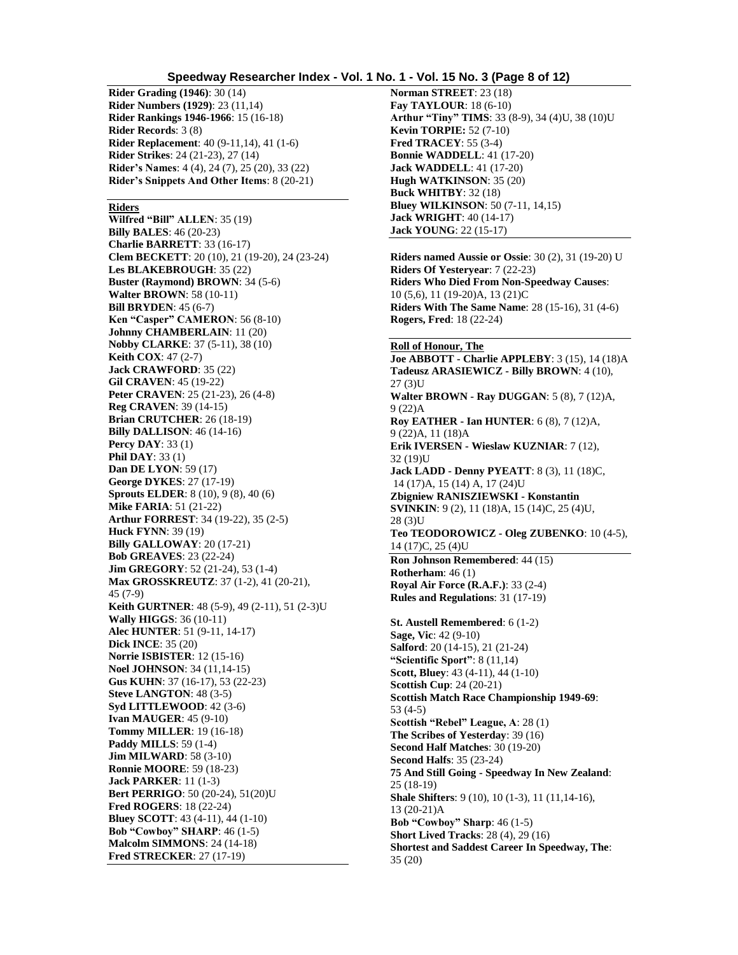## **Speedway Researcher Index - Vol. 1 No. 1 - Vol. 15 No. 3 (Page 8 of 12)**

**Rider Grading (1946)**: 30 (14) **Rider Numbers (1929)**: 23 (11,14) **Rider Rankings 1946-1966**: 15 (16-18) **Rider Records**: 3 (8) **Rider Replacement**: 40 (9-11,14), 41 (1-6) **Rider Strikes**: 24 (21-23), 27 (14) **Rider's Names**: 4 (4), 24 (7), 25 (20), 33 (22) **Rider's Snippets And Other Items**: 8 (20-21)

#### **Riders**

**Wilfred "Bill" ALLEN**: 35 (19) **Billy BALES**: 46 (20-23) **Charlie BARRETT**: 33 (16-17) **Clem BECKETT**: 20 (10), 21 (19-20), 24 (23-24) **Les BLAKEBROUGH**: 35 (22) **Buster (Raymond) BROWN**: 34 (5-6) **Walter BROWN**: 58 (10-11) **Bill BRYDEN**: 45 (6-7) **Ken "Casper" CAMERON**: 56 (8-10) **Johnny CHAMBERLAIN**: 11 (20) **Nobby CLARKE**: 37 (5-11), 38 (10) **Keith COX**: 47 (2-7) **Jack CRAWFORD**: 35 (22) **Gil CRAVEN**: 45 (19-22) **Peter CRAVEN**: 25 (21-23), 26 (4-8) **Reg CRAVEN**: 39 (14-15) **Brian CRUTCHER**: 26 (18-19) **Billy DALLISON**: 46 (14-16) **Percy DAY**: 33 (1) **Phil DAY**: 33 (1) **Dan DE LYON**: 59 (17) **George DYKES**: 27 (17-19) **Sprouts ELDER**: 8 (10), 9 (8), 40 (6) **Mike FARIA**: 51 (21-22) **Arthur FORREST**: 34 (19-22), 35 (2-5) **Huck FYNN**: 39 (19) **Billy GALLOWAY**: 20 (17-21) **Bob GREAVES**: 23 (22-24) **Jim GREGORY**: 52 (21-24), 53 (1-4) **Max GROSSKREUTZ**: 37 (1-2), 41 (20-21), 45 (7-9) **Keith GURTNER**: 48 (5-9), 49 (2-11), 51 (2-3)U **Wally HIGGS**: 36 (10-11) **Alec HUNTER**: 51 (9-11, 14-17) **Dick INCE**: 35 (20) **Norrie ISBISTER**: 12 (15-16) **Noel JOHNSON**: 34 (11,14-15) **Gus KUHN**: 37 (16-17), 53 (22-23) **Steve LANGTON**: 48 (3-5) **Syd LITTLEWOOD**: 42 (3-6) **Ivan MAUGER**: 45 (9-10) **Tommy MILLER**: 19 (16-18) **Paddy MILLS**: 59 (1-4) **Jim MILWARD**: 58 (3-10) **Ronnie MOORE**: 59 (18-23) **Jack PARKER**: 11 (1-3) **Bert PERRIGO**: 50 (20-24), 51(20)U **Fred ROGERS**: 18 (22-24) **Bluey SCOTT**: 43 (4-11), 44 (1-10) **Bob "Cowboy" SHARP**: 46 (1-5) **Malcolm SIMMONS**: 24 (14-18) **Fred STRECKER**: 27 (17-19)

**Norman STREET**: 23 (18) **Fay TAYLOUR**: 18 (6-10) **Arthur "Tiny" TIMS**: 33 (8-9), 34 (4)U, 38 (10)U **Kevin TORPIE:** 52 (7-10) **Fred TRACEY**: 55 (3-4) **Bonnie WADDELL**: 41 (17-20) **Jack WADDELL**: 41 (17-20) **Hugh WATKINSON**: 35 (20) **Buck WHITBY**: 32 (18) **Bluey WILKINSON**: 50 (7-11, 14,15) **Jack WRIGHT**: 40 (14-17) **Jack YOUNG**: 22 (15-17)

**Riders named Aussie or Ossie**: 30 (2), 31 (19-20) U **Riders Of Yesteryear**: 7 (22-23) **Riders Who Died From Non-Speedway Causes**: 10 (5,6), 11 (19-20)A, 13 (21)C **Riders With The Same Name**: 28 (15-16), 31 (4-6) **Rogers, Fred**: 18 (22-24)

#### **Roll of Honour, The**

**Joe ABBOTT - Charlie APPLEBY**: 3 (15), 14 (18)A **Tadeusz ARASIEWICZ - Billy BROWN**: 4 (10), 27 (3)II **Walter BROWN - Ray DUGGAN**: 5 (8), 7 (12)A, 9 (22)A **Roy EATHER - Ian HUNTER**: 6 (8), 7 (12)A, 9 (22)A, 11 (18)A **Erik IVERSEN - Wieslaw KUZNIAR**: 7 (12), 32 (19)U **Jack LADD - Denny PYEATT**: 8 (3), 11 (18)C, 14 (17)A, 15 (14) A, 17 (24)U **Zbigniew RANISZIEWSKI - Konstantin SVINKIN**: 9 (2), 11 (18)A, 15 (14)C, 25 (4)U, 28 (3)U **Teo TEODOROWICZ - Oleg ZUBENKO**: 10 (4-5), 14 (17)C, 25 (4)U **Ron Johnson Remembered**: 44 (15) **Rotherham**: 46 (1) **Royal Air Force (R.A.F.)**: 33 (2-4) **Rules and Regulations**: 31 (17-19) **St. Austell Remembered**: 6 (1-2) **Sage, Vic**: 42 (9-10) **Salford**: 20 (14-15), 21 (21-24) **"Scientific Sport"**: 8 (11,14) **Scott, Bluey**: 43 (4-11), 44 (1-10) **Scottish Cup**: 24 (20-21) **Scottish Match Race Championship 1949-69**: 53 (4-5) **Scottish "Rebel" League, A**: 28 (1) **The Scribes of Yesterday**: 39 (16) **Second Half Matches**: 30 (19-20) **Second Halfs**: 35 (23-24) **75 And Still Going - Speedway In New Zealand**: 25 (18-19) **Shale Shifters**: 9 (10), 10 (1-3), 11 (11,14-16), 13 (20-21)A **Bob "Cowboy" Sharp**: 46 (1-5) **Short Lived Tracks**: 28 (4), 29 (16) **Shortest and Saddest Career In Speedway, The**: 35 (20)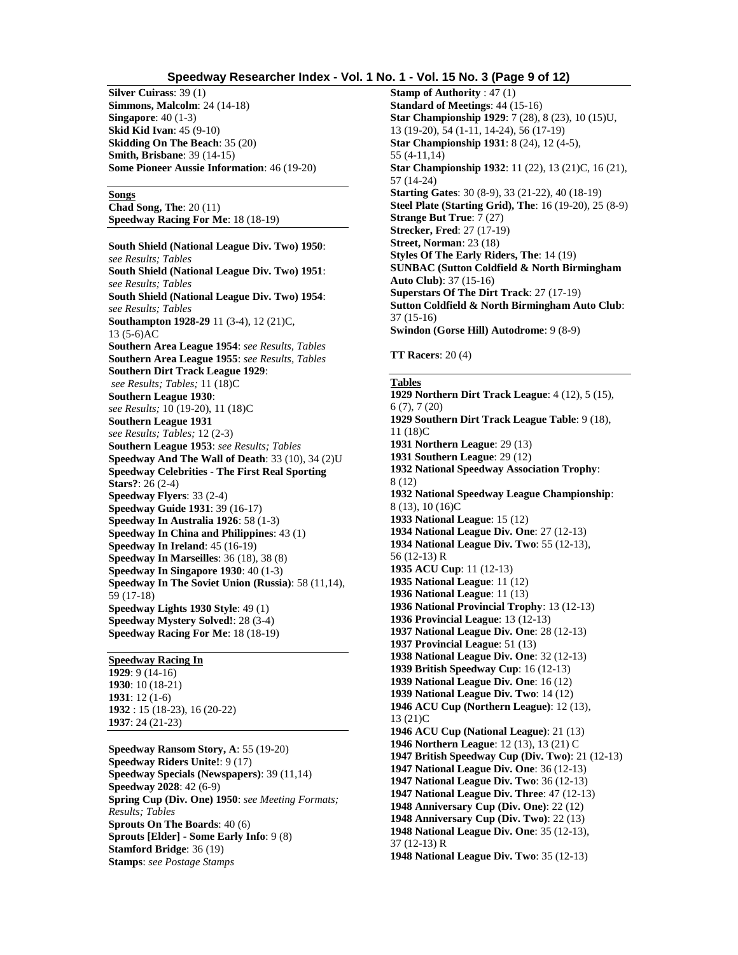## **Speedway Researcher Index - Vol. 1 No. 1 - Vol. 15 No. 3 (Page 9 of 12)**

**Silver Cuirass**: 39 (1) **Simmons, Malcolm**: 24 (14-18) **Singapore**: 40 (1-3) **Skid Kid Ivan**: 45 (9-10) **Skidding On The Beach**: 35 (20) **Smith, Brisbane**: 39 (14-15) **Some Pioneer Aussie Information**: 46 (19-20)

#### **Songs**

**Chad Song, The**: 20 (11) **Speedway Racing For Me**: 18 (18-19)

**South Shield (National League Div. Two) 1950**: *see Results; Tables* **South Shield (National League Div. Two) 1951**: *see Results; Tables* **South Shield (National League Div. Two) 1954**: *see Results; Tables* **Southampton 1928-29** 11 (3-4), 12 (21)C, 13 (5-6)AC **Southern Area League 1954**: *see Results, Tables* **Southern Area League 1955**: *see Results, Tables* **Southern Dirt Track League 1929**: *see Results; Tables;* 11 (18)C **Southern League 1930**: *see Results;* 10 (19-20), 11 (18)C **Southern League 1931** *see Results; Tables;* 12 (2-3) **Southern League 1953**: *see Results; Tables* **Speedway And The Wall of Death**: 33 (10), 34 (2)U **Speedway Celebrities - The First Real Sporting Stars?**: 26 (2-4) **Speedway Flyers**: 33 (2-4) **Speedway Guide 1931**: 39 (16-17) **Speedway In Australia 1926**: 58 (1-3) **Speedway In China and Philippines**: 43 (1) **Speedway In Ireland**: 45 (16-19) **Speedway In Marseilles**: 36 (18), 38 (8) **Speedway In Singapore 1930**: 40 (1-3) **Speedway In The Soviet Union (Russia)**: 58 (11,14), 59 (17-18) **Speedway Lights 1930 Style**: 49 (1) **Speedway Mystery Solved!**: 28 (3-4) **Speedway Racing For Me**: 18 (18-19)

## **Speedway Racing In**

: 9 (14-16) : 10 (18-21) : 12 (1-6) : 15 (18-23), 16 (20-22) : 24 (21-23)

**Speedway Ransom Story, A**: 55 (19-20) **Speedway Riders Unite!**: 9 (17) **Speedway Specials (Newspapers)**: 39 (11,14) **Speedway 2028**: 42 (6-9) **Spring Cup (Div. One) 1950**: *see Meeting Formats; Results; Tables* **Sprouts On The Boards**: 40 (6) **Sprouts [Elder] - Some Early Info**: 9 (8) **Stamford Bridge**: 36 (19) **Stamps**: *see Postage Stamps*

**Stamp of Authority** : 47 (1) **Standard of Meetings**: 44 (15-16) **Star Championship 1929**: 7 (28), 8 (23), 10 (15)U, 13 (19-20), 54 (1-11, 14-24), 56 (17-19) **Star Championship 1931**: 8 (24), 12 (4-5), 55 (4-11,14) **Star Championship 1932**: 11 (22), 13 (21)C, 16 (21), 57 (14-24) **Starting Gates**: 30 (8-9), 33 (21-22), 40 (18-19) **Steel Plate (Starting Grid), The**: 16 (19-20), 25 (8-9) **Strange But True**: 7 (27) **Strecker, Fred**: 27 (17-19) **Street, Norman**: 23 (18) **Styles Of The Early Riders, The**: 14 (19) **SUNBAC (Sutton Coldfield & North Birmingham Auto Club)**: 37 (15-16) **Superstars Of The Dirt Track**: 27 (17-19) **Sutton Coldfield & North Birmingham Auto Club**: 37 (15-16) **Swindon (Gorse Hill) Autodrome**: 9 (8-9)

**TT Racers**: 20 (4)

# **Tables**

**1929 Northern Dirt Track League**: 4 (12), 5 (15), 6 (7), 7 (20) **1929 Southern Dirt Track League Table**: 9 (18), 11 (18)C **1931 Northern League**: 29 (13) **1931 Southern League**: 29 (12) **1932 National Speedway Association Trophy**: 8 (12) **1932 National Speedway League Championship**: 8 (13), 10 (16)C **1933 National League**: 15 (12) **1934 National League Div. One**: 27 (12-13) **1934 National League Div. Two**: 55 (12-13), 56 (12-13) R **1935 ACU Cup**: 11 (12-13) **1935 National League**: 11 (12) **1936 National League**: 11 (13) **1936 National Provincial Trophy**: 13 (12-13) **1936 Provincial League**: 13 (12-13) **1937 National League Div. One**: 28 (12-13) **1937 Provincial League**: 51 (13) **1938 National League Div. One**: 32 (12-13) **1939 British Speedway Cup**: 16 (12-13) **1939 National League Div. One**: 16 (12) **1939 National League Div. Two**: 14 (12) **1946 ACU Cup (Northern League)**: 12 (13), 13 (21)C **1946 ACU Cup (National League)**: 21 (13) **1946 Northern League**: 12 (13), 13 (21) C **1947 British Speedway Cup (Div. Two)**: 21 (12-13) **1947 National League Div. One**: 36 (12-13) **1947 National League Div. Two**: 36 (12-13) **1947 National League Div. Three**: 47 (12-13) **1948 Anniversary Cup (Div. One)**: 22 (12) **1948 Anniversary Cup (Div. Two)**: 22 (13) **1948 National League Div. One**: 35 (12-13), 37 (12-13) R **1948 National League Div. Two**: 35 (12-13)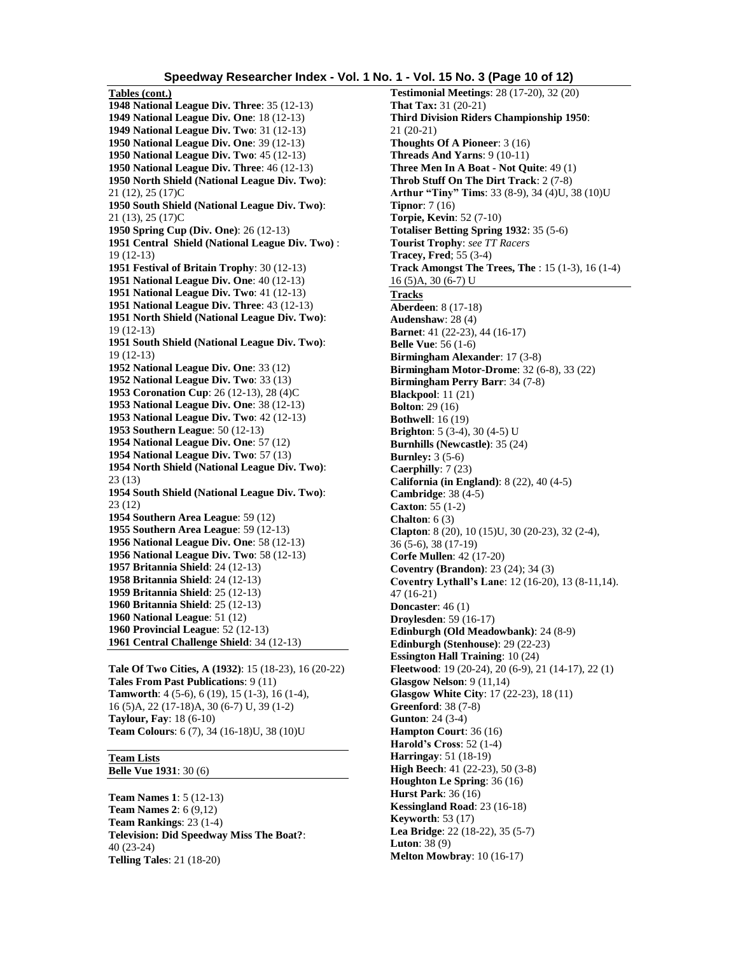**Tables (cont.) 1948 National League Div. Three**: 35 (12-13) **1949 National League Div. One**: 18 (12-13) **1949 National League Div. Two**: 31 (12-13) **1950 National League Div. One**: 39 (12-13) **1950 National League Div. Two**: 45 (12-13) **1950 National League Div. Three**: 46 (12-13) **1950 North Shield (National League Div. Two)**: 21 (12), 25 (17)C **1950 South Shield (National League Div. Two)**: 21 (13), 25 (17)C **1950 Spring Cup (Div. One)**: 26 (12-13) **1951 Central Shield (National League Div. Two)** : 19 (12-13) **1951 Festival of Britain Trophy**: 30 (12-13) **1951 National League Div. One**: 40 (12-13) **1951 National League Div. Two**: 41 (12-13) **1951 National League Div. Three**: 43 (12-13) **1951 North Shield (National League Div. Two)**: 19 (12-13) **1951 South Shield (National League Div. Two)**: 19 (12-13) **1952 National League Div. One**: 33 (12) **1952 National League Div. Two**: 33 (13) **1953 Coronation Cup**: 26 (12-13), 28 (4)C **1953 National League Div. One**: 38 (12-13) **1953 National League Div. Two**: 42 (12-13) **1953 Southern League**: 50 (12-13) **1954 National League Div. One**: 57 (12) **1954 National League Div. Two**: 57 (13) **1954 North Shield (National League Div. Two)**: 23 (13) **1954 South Shield (National League Div. Two)**: 23 (12) **1954 Southern Area League**: 59 (12) **1955 Southern Area League**: 59 (12-13) **1956 National League Div. One**: 58 (12-13) **1956 National League Div. Two**: 58 (12-13) **1957 Britannia Shield**: 24 (12-13) **1958 Britannia Shield**: 24 (12-13) **1959 Britannia Shield**: 25 (12-13) **1960 Britannia Shield**: 25 (12-13) **1960 National League**: 51 (12) **1960 Provincial League**: 52 (12-13) **1961 Central Challenge Shield**: 34 (12-13)

**Tale Of Two Cities, A (1932)**: 15 (18-23), 16 (20-22) **Tales From Past Publications**: 9 (11) **Tamworth**: 4 (5-6), 6 (19), 15 (1-3), 16 (1-4), 16 (5)A, 22 (17-18)A, 30 (6-7) U, 39 (1-2) **Taylour, Fay**: 18 (6-10) **Team Colours**: 6 (7), 34 (16-18)U, 38 (10)U

# **Team Lists**

**Belle Vue 1931**: 30 (6)

**Team Names 1**: 5 (12-13) **Team Names 2**: 6 (9,12) **Team Rankings**: 23 (1-4) **Television: Did Speedway Miss The Boat?**: 40 (23-24) **Telling Tales**: 21 (18-20)

**Testimonial Meetings**: 28 (17-20), 32 (20) **That Tax:** 31 (20-21) **Third Division Riders Championship 1950**: 21 (20-21) **Thoughts Of A Pioneer**: 3 (16) **Threads And Yarns**: 9 (10-11) **Three Men In A Boat - Not Quite**: 49 (1) **Throb Stuff On The Dirt Track**: 2 (7-8) **Arthur "Tiny" Tims**: 33 (8-9), 34 (4)U, 38 (10)U **Tipnor**: 7 (16) **Torpie, Kevin**: 52 (7-10) **Totaliser Betting Spring 1932**: 35 (5-6) **Tourist Trophy**: *see TT Racers* **Tracey, Fred**; 55 (3-4) **Track Amongst The Trees, The** : 15 (1-3), 16 (1-4) 16 (5)A, 30 (6-7) U **Tracks Aberdeen**: 8 (17-18) **Audenshaw**: 28 (4) **Barnet**: 41 (22-23), 44 (16-17) **Belle Vue**: 56 (1-6) **Birmingham Alexander**: 17 (3-8) **Birmingham Motor-Drome**: 32 (6-8), 33 (22) **Birmingham Perry Barr**: 34 (7-8) **Blackpool**: 11 (21) **Bolton**: 29 (16) **Bothwell**: 16 (19) **Brighton**: 5 (3-4), 30 (4-5) U **Burnhills (Newcastle)**: 35 (24) **Burnley:** 3 (5-6) **Caerphilly**: 7 (23) **California (in England)**: 8 (22), 40 (4-5) **Cambridge**: 38 (4-5) **Caxton**: 55 (1-2) **Chalton**: 6 (3) **Clapton**: 8 (20), 10 (15)U, 30 (20-23), 32 (2-4), 36 (5-6), 38 (17-19) **Corfe Mullen**: 42 (17-20) **Coventry (Brandon)**: 23 (24); 34 (3) **Coventry Lythall's Lane**: 12 (16-20), 13 (8-11,14). 47 (16-21) **Doncaster**: 46 (1) **Droylesden**: 59 (16-17) **Edinburgh (Old Meadowbank)**: 24 (8-9) **Edinburgh (Stenhouse)**: 29 (22-23) **Essington Hall Training**: 10 (24) **Fleetwood**: 19 (20-24), 20 (6-9), 21 (14-17), 22 (1) **Glasgow Nelson**: 9 (11,14) **Glasgow White City**: 17 (22-23), 18 (11) **Greenford**: 38 (7-8) **Gunton**: 24 (3-4) **Hampton Court**: 36 (16) **Harold's Cross**: 52 (1-4) **Harringay**: 51 (18-19) **High Beech**: 41 (22-23), 50 (3-8) **Houghton Le Spring**: 36 (16) **Hurst Park**: 36 (16) **Kessingland Road**: 23 (16-18) **Keyworth**: 53 (17) **Lea Bridge**: 22 (18-22), 35 (5-7) **Luton**: 38 (9) **Melton Mowbray**: 10 (16-17)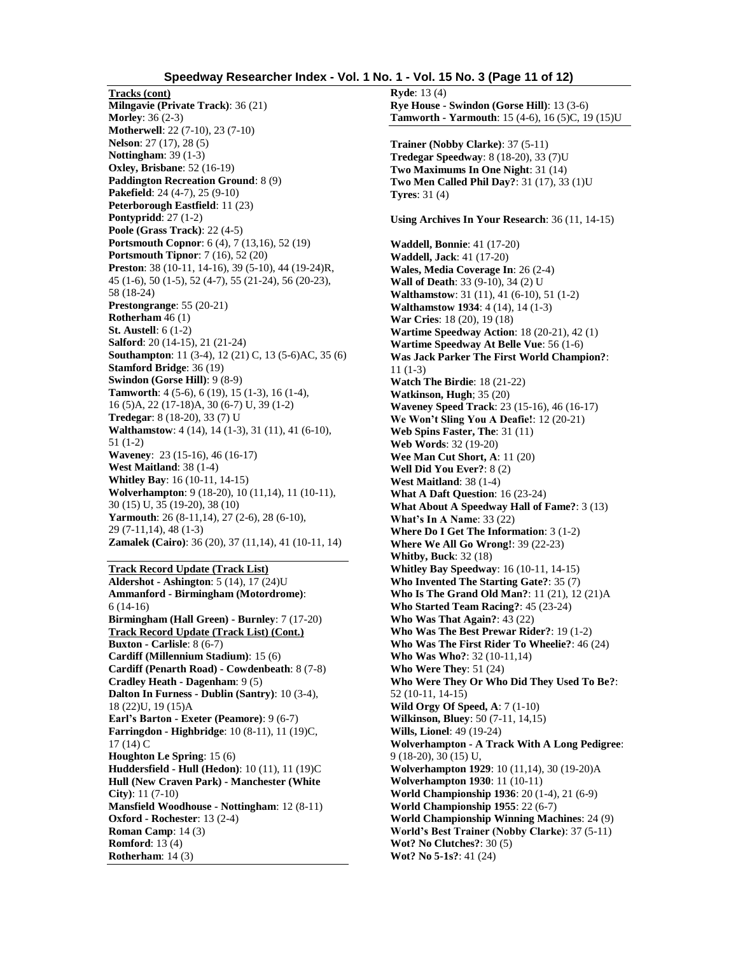## **Speedway Researcher Index - Vol. 1 No. 1 - Vol. 15 No. 3 (Page 11 of 12)**

**Tracks (cont) Milngavie (Private Track)**: 36 (21) **Morley**: 36 (2-3) **Motherwell**: 22 (7-10), 23 (7-10) **Nelson**: 27 (17), 28 (5) **Nottingham**: 39 (1-3) **Oxley, Brisbane**: 52 (16-19) **Paddington Recreation Ground**: 8 (9) **Pakefield**: 24 (4-7), 25 (9-10) **Peterborough Eastfield**: 11 (23) **Pontypridd**: 27 (1-2) **Poole (Grass Track)**: 22 (4-5) **Portsmouth Copnor**: 6 (4), 7 (13,16), 52 (19) **Portsmouth Tipnor**: 7 (16), 52 (20) **Preston**: 38 (10-11, 14-16), 39 (5-10), 44 (19-24)R, 45 (1-6), 50 (1-5), 52 (4-7), 55 (21-24), 56 (20-23), 58 (18-24) **Prestongrange**: 55 (20-21) **Rotherham** 46 (1) **St. Austell**: 6 (1-2) **Salford**: 20 (14-15), 21 (21-24) **Southampton**: 11 (3-4), 12 (21) C, 13 (5-6)AC, 35 (6) **Stamford Bridge**: 36 (19) **Swindon (Gorse Hill)**: 9 (8-9) **Tamworth**: 4 (5-6), 6 (19), 15 (1-3), 16 (1-4), 16 (5)A, 22 (17-18)A, 30 (6-7) U, 39 (1-2) **Tredegar**: 8 (18-20), 33 (7) U **Walthamstow**: 4 (14), 14 (1-3), 31 (11), 41 (6-10), 51 (1-2) **Waveney**: 23 (15-16), 46 (16-17) **West Maitland**: 38 (1-4) **Whitley Bay**: 16 (10-11, 14-15) **Wolverhampton**: 9 (18-20), 10 (11,14), 11 (10-11), 30 (15) U, 35 (19-20), 38 (10) **Yarmouth**: 26 (8-11,14), 27 (2-6), 28 (6-10), 29 (7-11,14), 48 (1-3) **Zamalek (Cairo)**: 36 (20), 37 (11,14), 41 (10-11, 14)

# **Track Record Update (Track List)**

**Aldershot - Ashington**: 5 (14), 17 (24)U **Ammanford - Birmingham (Motordrome)**: 6 (14-16) **Birmingham (Hall Green) - Burnley**: 7 (17-20) **Track Record Update (Track List) (Cont.) Buxton - Carlisle**: 8 (6-7) **Cardiff (Millennium Stadium)**: 15 (6) **Cardiff (Penarth Road) - Cowdenbeath**: 8 (7-8) **Cradley Heath - Dagenham**: 9 (5) **Dalton In Furness - Dublin (Santry)**: 10 (3-4), 18 (22)U, 19 (15)A **Earl's Barton - Exeter (Peamore)**: 9 (6-7) **Farringdon - Highbridge**: 10 (8-11), 11 (19)C, 17 (14) C **Houghton Le Spring**: 15 (6) **Huddersfield - Hull (Hedon)**: 10 (11), 11 (19)C **Hull (New Craven Park) - Manchester (White City)**: 11 (7-10) **Mansfield Woodhouse - Nottingham**: 12 (8-11) **Oxford - Rochester**: 13 (2-4) **Roman Camp**: 14 (3) **Romford**: 13 (4) **Rotherham**: 14 (3)

**Ryde**: 13 (4) **Rye House - Swindon (Gorse Hill)**: 13 (3-6) **Tamworth - Yarmouth**: 15 (4-6), 16 (5)C, 19 (15)U **Trainer (Nobby Clarke)**: 37 (5-11) **Tredegar Speedway**: 8 (18-20), 33 (7)U **Two Maximums In One Night**: 31 (14) **Two Men Called Phil Day?**: 31 (17), 33 (1)U **Tyres**: 31 (4) **Using Archives In Your Research**: 36 (11, 14-15) **Waddell, Bonnie**: 41 (17-20) **Waddell, Jack**: 41 (17-20) **Wales, Media Coverage In**: 26 (2-4) **Wall of Death**: 33 (9-10), 34 (2) U **Walthamstow**: 31 (11), 41 (6-10), 51 (1-2) **Walthamstow 1934**: 4 (14), 14 (1-3) **War Cries**: 18 (20), 19 (18) **Wartime Speedway Action**: 18 (20-21), 42 (1) **Wartime Speedway At Belle Vue**: 56 (1-6) **Was Jack Parker The First World Champion?**: 11 (1-3) **Watch The Birdie**: 18 (21-22) **Watkinson, Hugh**; 35 (20) **Waveney Speed Track**: 23 (15-16), 46 (16-17) **We Won't Sling You A Deafie!**: 12 (20-21) **Web Spins Faster, The**: 31 (11) **Web Words**: 32 (19-20) **Wee Man Cut Short, A**: 11 (20) **Well Did You Ever?**: 8 (2) **West Maitland**: 38 (1-4) **What A Daft Question**: 16 (23-24) **What About A Speedway Hall of Fame?**: 3 (13) **What's In A Name**: 33 (22) **Where Do I Get The Information**: 3 (1-2) **Where We All Go Wrong!**: 39 (22-23) **Whitby, Buck**: 32 (18) **Whitley Bay Speedway**: 16 (10-11, 14-15) **Who Invented The Starting Gate?**: 35 (7) **Who Is The Grand Old Man?**: 11 (21), 12 (21)A **Who Started Team Racing?**: 45 (23-24) **Who Was That Again?**: 43 (22) **Who Was The Best Prewar Rider?**: 19 (1-2) **Who Was The First Rider To Wheelie?**: 46 (24) **Who Was Who?**: 32 (10-11,14) **Who Were They**: 51 (24) **Who Were They Or Who Did They Used To Be?**: 52 (10-11, 14-15) **Wild Orgy Of Speed, A**: 7 (1-10) **Wilkinson, Bluey**: 50 (7-11, 14,15) **Wills, Lionel**: 49 (19-24) **Wolverhampton - A Track With A Long Pedigree**: 9 (18-20), 30 (15) U, **Wolverhampton 1929**: 10 (11,14), 30 (19-20)A **Wolverhampton 1930**: 11 (10-11) **World Championship 1936**: 20 (1-4), 21 (6-9) **World Championship 1955**: 22 (6-7) **World Championship Winning Machines**: 24 (9) **World's Best Trainer (Nobby Clarke)**: 37 (5-11) **Wot? No Clutches?**: 30 (5) **Wot? No 5-1s?**: 41 (24)